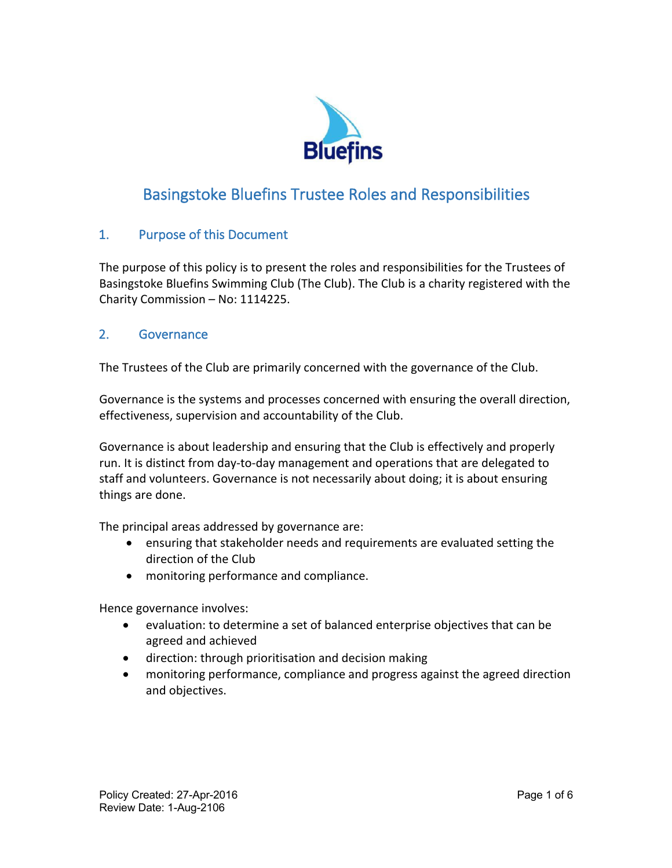

# Basingstoke Bluefins Trustee Roles and Responsibilities

# 1. Purpose of this Document

The purpose of this policy is to present the roles and responsibilities for the Trustees of Basingstoke Bluefins Swimming Club (The Club). The Club is a charity registered with the Charity Commission – No: 1114225.

# 2. Governance

The Trustees of the Club are primarily concerned with the governance of the Club.

Governance is the systems and processes concerned with ensuring the overall direction, effectiveness, supervision and accountability of the Club.

Governance is about leadership and ensuring that the Club is effectively and properly run. It is distinct from day-to-day management and operations that are delegated to staff and volunteers. Governance is not necessarily about doing; it is about ensuring things are done.

The principal areas addressed by governance are:

- ensuring that stakeholder needs and requirements are evaluated setting the direction of the Club
- monitoring performance and compliance.

Hence governance involves:

- evaluation: to determine a set of balanced enterprise objectives that can be agreed and achieved
- direction: through prioritisation and decision making
- monitoring performance, compliance and progress against the agreed direction and objectives.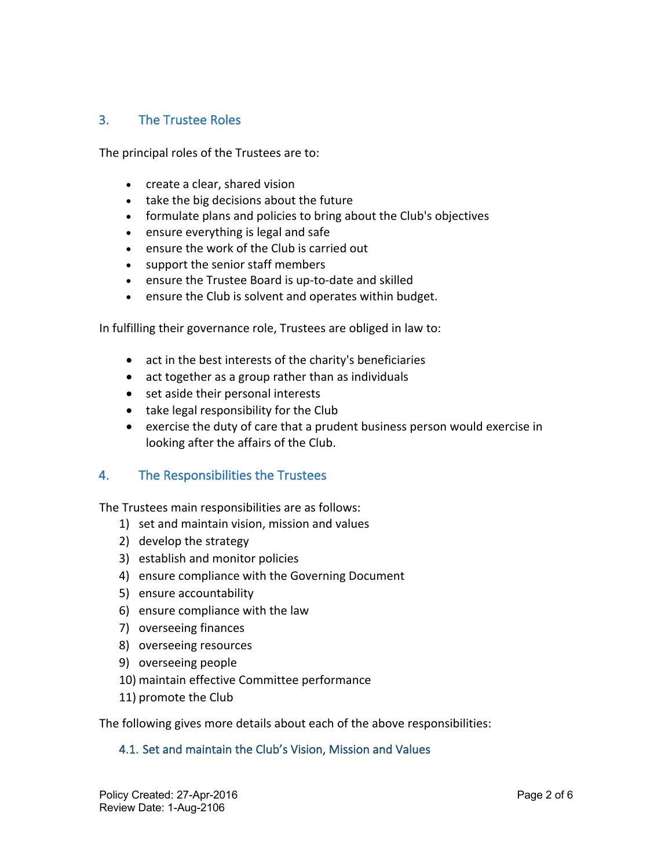## 3. The Trustee Roles

The principal roles of the Trustees are to:

- create a clear, shared vision
- take the big decisions about the future
- formulate plans and policies to bring about the Club's objectives
- ensure everything is legal and safe
- ensure the work of the Club is carried out
- support the senior staff members
- ensure the Trustee Board is up-to-date and skilled
- ensure the Club is solvent and operates within budget.

In fulfilling their governance role, Trustees are obliged in law to:

- act in the best interests of the charity's beneficiaries
- act together as a group rather than as individuals
- set aside their personal interests
- take legal responsibility for the Club
- exercise the duty of care that a prudent business person would exercise in looking after the affairs of the Club.

## 4. The Responsibilities the Trustees

The Trustees main responsibilities are as follows:

- 1) set and maintain vision, mission and values
- 2) develop the strategy
- 3) establish and monitor policies
- 4) ensure compliance with the Governing Document
- 5) ensure accountability
- 6) ensure compliance with the law
- 7) overseeing finances
- 8) overseeing resources
- 9) overseeing people
- 10) maintain effective Committee performance
- 11) promote the Club

The following gives more details about each of the above responsibilities:

#### 4.1. Set and maintain the Club's Vision, Mission and Values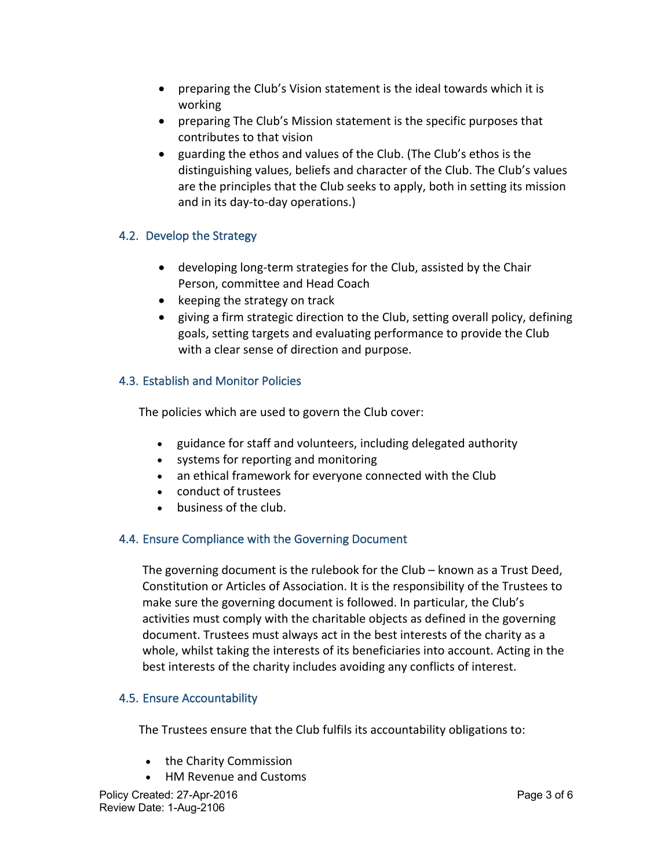- preparing the Club's Vision statement is the ideal towards which it is working
- preparing The Club's Mission statement is the specific purposes that contributes to that vision
- guarding the ethos and values of the Club. (The Club's ethos is the distinguishing values, beliefs and character of the Club. The Club's values are the principles that the Club seeks to apply, both in setting its mission and in its day-to-day operations.)

## 4.2. Develop the Strategy

- developing long-term strategies for the Club, assisted by the Chair Person, committee and Head Coach
- keeping the strategy on track
- giving a firm strategic direction to the Club, setting overall policy, defining goals, setting targets and evaluating performance to provide the Club with a clear sense of direction and purpose.

## 4.3. Establish and Monitor Policies

The policies which are used to govern the Club cover:

- guidance for staff and volunteers, including delegated authority
- systems for reporting and monitoring
- an ethical framework for everyone connected with the Club
- conduct of trustees
- business of the club.

## 4.4. Ensure Compliance with the Governing Document

The governing document is the rulebook for the Club – known as a Trust Deed, Constitution or Articles of Association. It is the responsibility of the Trustees to make sure the governing document is followed. In particular, the Club's activities must comply with the charitable objects as defined in the governing document. Trustees must always act in the best interests of the charity as a whole, whilst taking the interests of its beneficiaries into account. Acting in the best interests of the charity includes avoiding any conflicts of interest.

## 4.5. Ensure Accountability

The Trustees ensure that the Club fulfils its accountability obligations to:

- the Charity Commission
- HM Revenue and Customs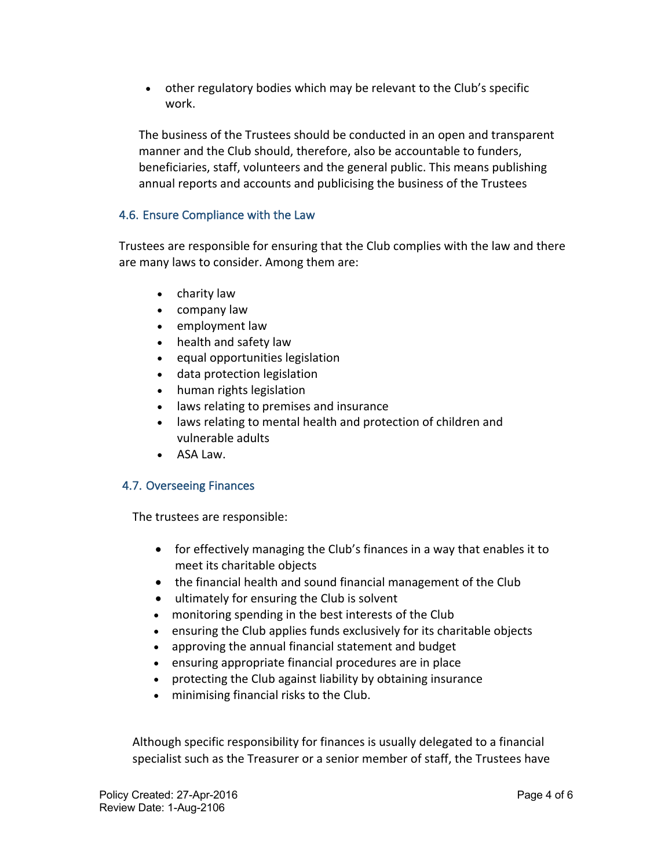• other regulatory bodies which may be relevant to the Club's specific work.

The business of the Trustees should be conducted in an open and transparent manner and the Club should, therefore, also be accountable to funders, beneficiaries, staff, volunteers and the general public. This means publishing annual reports and accounts and publicising the business of the Trustees

## 4.6. Ensure Compliance with the Law

Trustees are responsible for ensuring that the Club complies with the law and there are many laws to consider. Among them are:

- charity law
- company law
- employment law
- health and safety law
- equal opportunities legislation
- data protection legislation
- human rights legislation
- laws relating to premises and insurance
- laws relating to mental health and protection of children and vulnerable adults
- ASA Law.

## 4.7. Overseeing Finances

The trustees are responsible:

- for effectively managing the Club's finances in a way that enables it to meet its charitable objects
- the financial health and sound financial management of the Club
- ultimately for ensuring the Club is solvent
- monitoring spending in the best interests of the Club
- ensuring the Club applies funds exclusively for its charitable objects
- approving the annual financial statement and budget
- ensuring appropriate financial procedures are in place
- protecting the Club against liability by obtaining insurance
- minimising financial risks to the Club.

Although specific responsibility for finances is usually delegated to a financial specialist such as the Treasurer or a senior member of staff, the Trustees have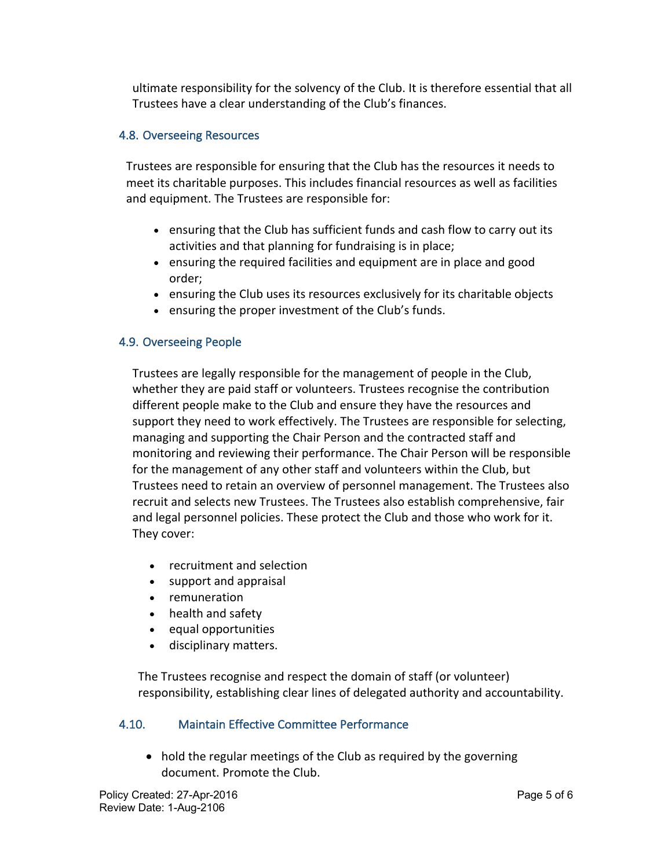ultimate responsibility for the solvency of the Club. It is therefore essential that all Trustees have a clear understanding of the Club's finances.

## 4.8. Overseeing Resources

Trustees are responsible for ensuring that the Club has the resources it needs to meet its charitable purposes. This includes financial resources as well as facilities and equipment. The Trustees are responsible for:

- ensuring that the Club has sufficient funds and cash flow to carry out its activities and that planning for fundraising is in place;
- ensuring the required facilities and equipment are in place and good order;
- ensuring the Club uses its resources exclusively for its charitable objects
- ensuring the proper investment of the Club's funds.

#### 4.9. Overseeing People

Trustees are legally responsible for the management of people in the Club, whether they are paid staff or volunteers. Trustees recognise the contribution different people make to the Club and ensure they have the resources and support they need to work effectively. The Trustees are responsible for selecting, managing and supporting the Chair Person and the contracted staff and monitoring and reviewing their performance. The Chair Person will be responsible for the management of any other staff and volunteers within the Club, but Trustees need to retain an overview of personnel management. The Trustees also recruit and selects new Trustees. The Trustees also establish comprehensive, fair and legal personnel policies. These protect the Club and those who work for it. They cover:

- recruitment and selection
- support and appraisal
- remuneration
- health and safety
- equal opportunities
- disciplinary matters.

The Trustees recognise and respect the domain of staff (or volunteer) responsibility, establishing clear lines of delegated authority and accountability.

#### 4.10. Maintain Effective Committee Performance

• hold the regular meetings of the Club as required by the governing document. Promote the Club.